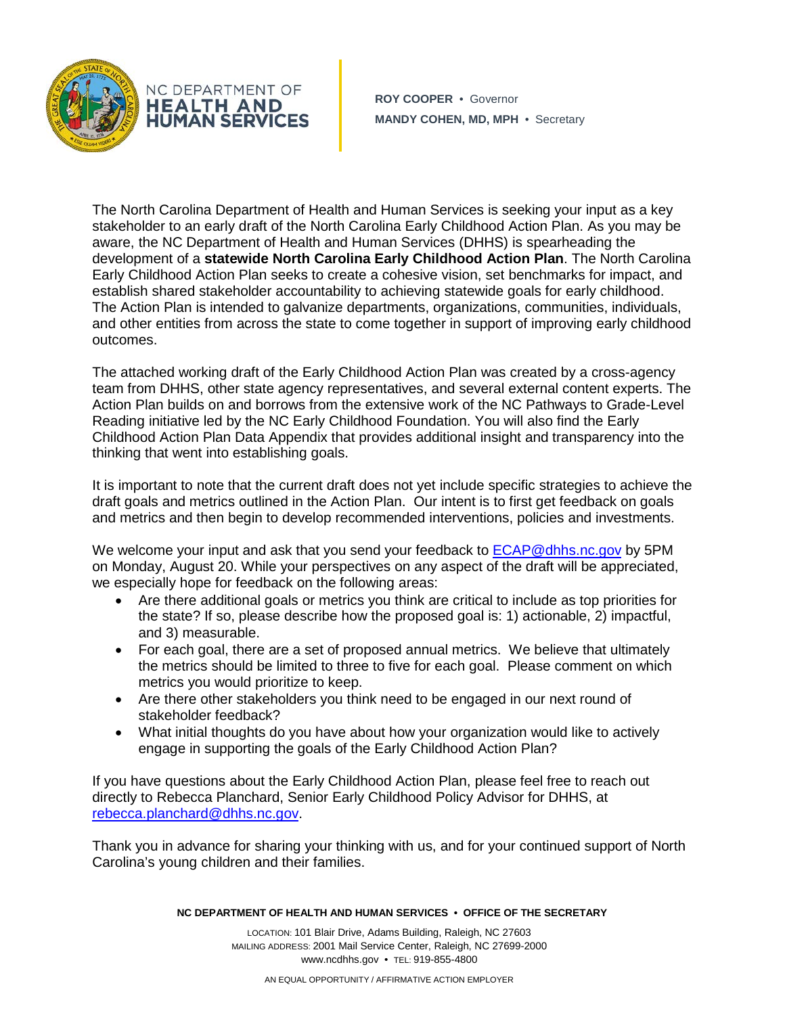

**ROY COOPER** • Governor **MANDY COHEN, MD, MPH** • Secretary

The North Carolina Department of Health and Human Services is seeking your input as a key stakeholder to an early draft of the North Carolina Early Childhood Action Plan. As you may be aware, the NC Department of Health and Human Services (DHHS) is spearheading the development of a **statewide North Carolina Early Childhood Action Plan**. The North Carolina Early Childhood Action Plan seeks to create a cohesive vision, set benchmarks for impact, and establish shared stakeholder accountability to achieving statewide goals for early childhood. The Action Plan is intended to galvanize departments, organizations, communities, individuals, and other entities from across the state to come together in support of improving early childhood outcomes.

The attached working draft of the Early Childhood Action Plan was created by a cross-agency team from DHHS, other state agency representatives, and several external content experts. The Action Plan builds on and borrows from the extensive work of the NC Pathways to Grade-Level Reading initiative led by the NC Early Childhood Foundation. You will also find the Early Childhood Action Plan Data Appendix that provides additional insight and transparency into the thinking that went into establishing goals.

It is important to note that the current draft does not yet include specific strategies to achieve the draft goals and metrics outlined in the Action Plan. Our intent is to first get feedback on goals and metrics and then begin to develop recommended interventions, policies and investments.

We welcome your input and ask that you send your feedback to [ECAP@dhhs.nc.gov](mailto:ECAP@dhhs.nc.gov) by 5PM on Monday, August 20. While your perspectives on any aspect of the draft will be appreciated, we especially hope for feedback on the following areas:

- Are there additional goals or metrics you think are critical to include as top priorities for the state? If so, please describe how the proposed goal is: 1) actionable, 2) impactful, and 3) measurable.
- For each goal, there are a set of proposed annual metrics. We believe that ultimately the metrics should be limited to three to five for each goal. Please comment on which metrics you would prioritize to keep.
- Are there other stakeholders you think need to be engaged in our next round of stakeholder feedback?
- What initial thoughts do you have about how your organization would like to actively engage in supporting the goals of the Early Childhood Action Plan?

If you have questions about the Early Childhood Action Plan, please feel free to reach out directly to Rebecca Planchard, Senior Early Childhood Policy Advisor for DHHS, at [rebecca.planchard@dhhs.nc.gov.](mailto:rebecca.planchard@dhhs.nc.gov)

Thank you in advance for sharing your thinking with us, and for your continued support of North Carolina's young children and their families.

**NC DEPARTMENT OF HEALTH AND HUMAN SERVICES • OFFICE OF THE SECRETARY**

LOCATION: 101 Blair Drive, Adams Building, Raleigh, NC 27603 MAILING ADDRESS: 2001 Mail Service Center, Raleigh, NC 27699-2000 www.ncdhhs.gov • TEL: 919-855-4800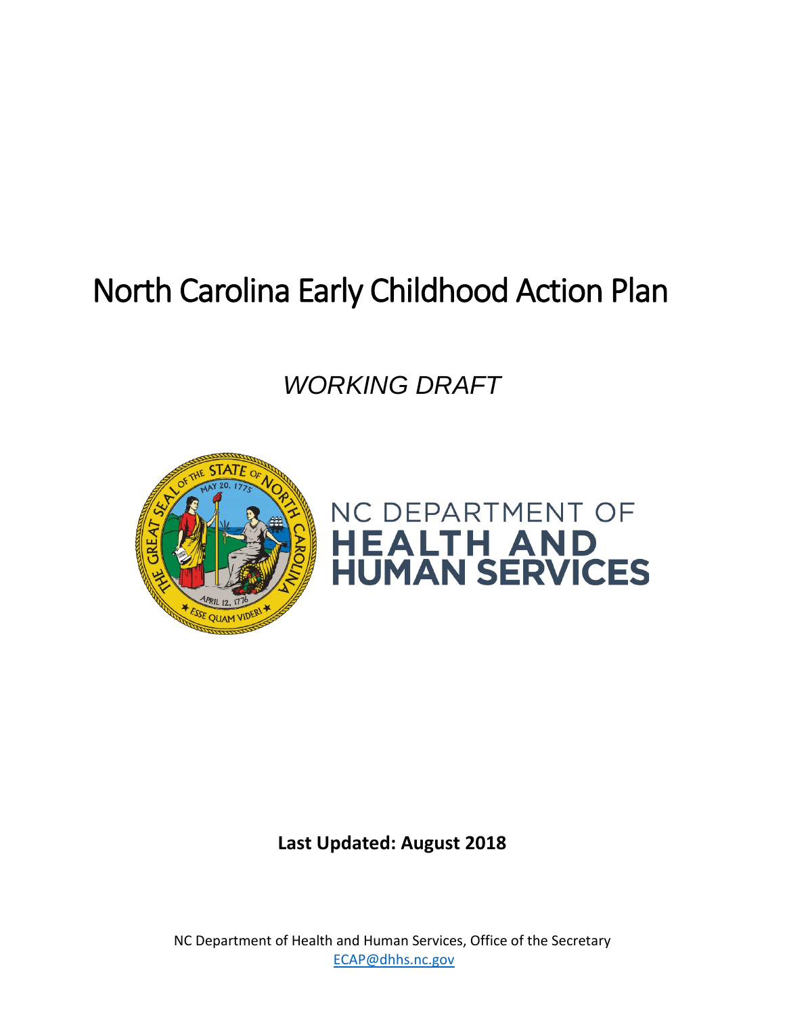# North Carolina Early Childhood Action Plan

*WORKING DRAFT*





**Last Updated: August 2018**

NC Department of Health and Human Services, Office of the Secretary [ECAP@dhhs.nc.gov](mailto:ECAP@dhhs.nc.gov)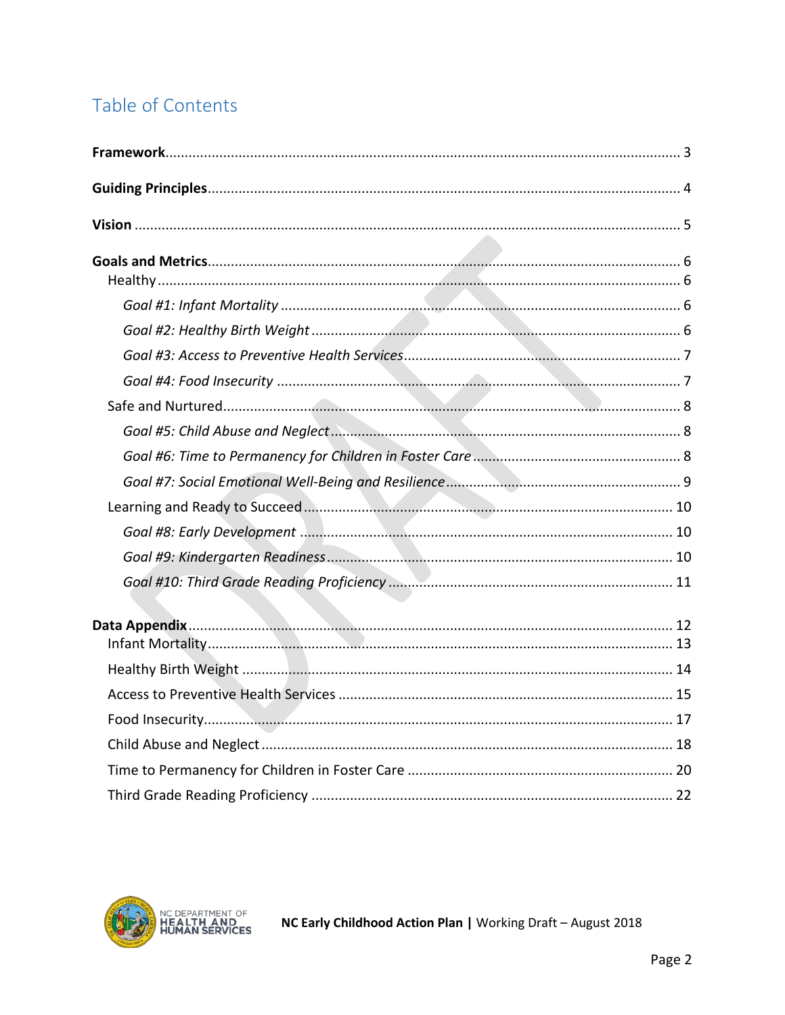# Table of Contents

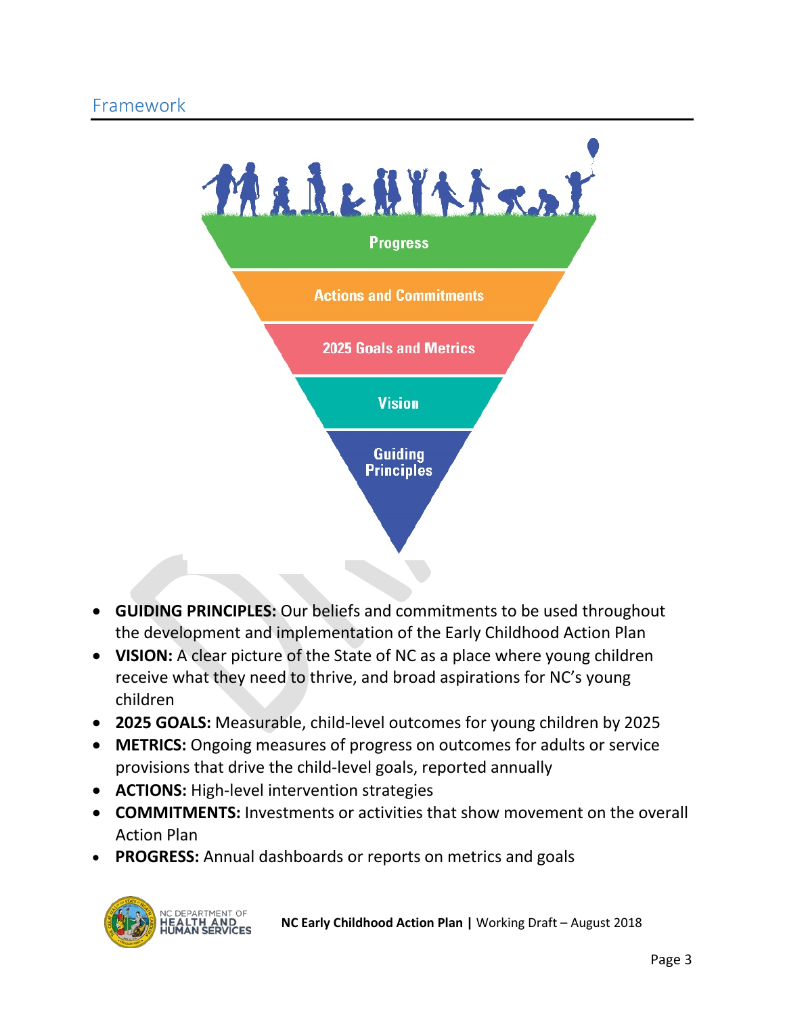<span id="page-3-0"></span>

- **GUIDING PRINCIPLES:** Our beliefs and commitments to be used throughout the development and implementation of the Early Childhood Action Plan
- **VISION:** A clear picture of the State of NC as a place where young children receive what they need to thrive, and broad aspirations for NC's young children
- **2025 GOALS:** Measurable, child-level outcomes for young children by 2025
- **METRICS:** Ongoing measures of progress on outcomes for adults or service provisions that drive the child-level goals, reported annually
- **ACTIONS:** High-level intervention strategies
- **COMMITMENTS:** Investments or activities that show movement on the overall Action Plan
- **PROGRESS:** Annual dashboards or reports on metrics and goals

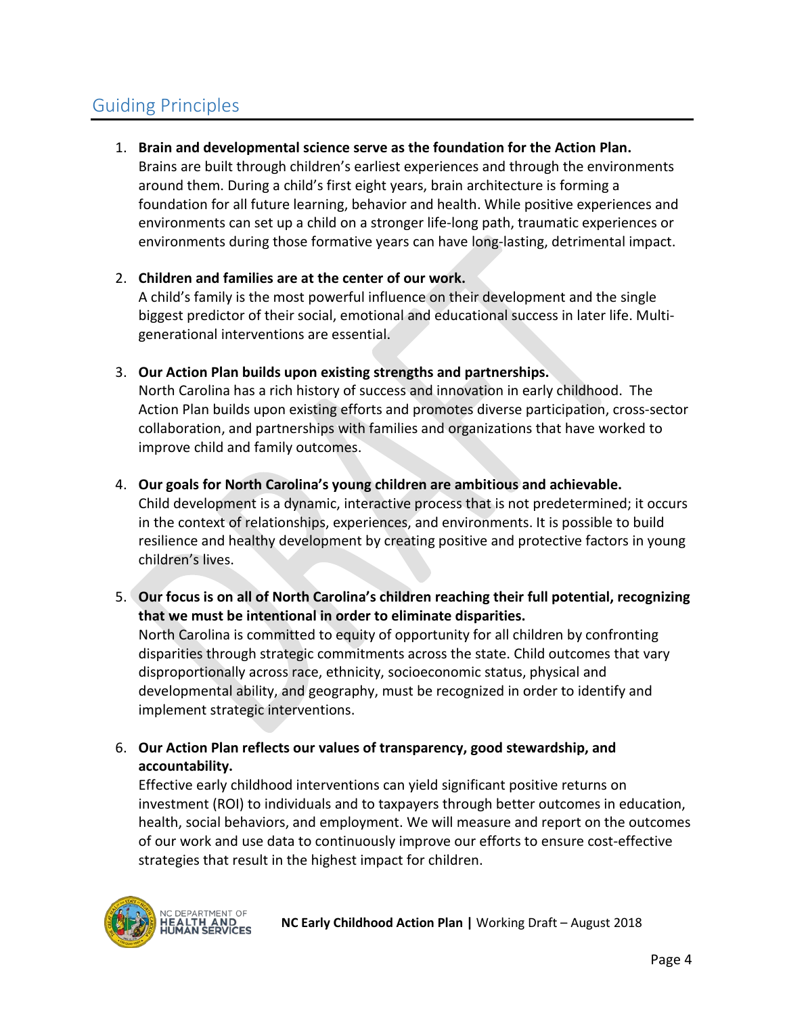# <span id="page-4-0"></span>Guiding Principles

1. **Brain and developmental science serve as the foundation for the Action Plan.**

Brains are built through children's earliest experiences and through the environments around them. During a child's first eight years, brain architecture is forming a foundation for all future learning, behavior and health. While positive experiences and environments can set up a child on a stronger life-long path, traumatic experiences or environments during those formative years can have long-lasting, detrimental impact.

#### 2. **Children and families are at the center of our work.**

A child's family is the most powerful influence on their development and the single biggest predictor of their social, emotional and educational success in later life. Multigenerational interventions are essential.

3. **Our Action Plan builds upon existing strengths and partnerships.**

North Carolina has a rich history of success and innovation in early childhood. The Action Plan builds upon existing efforts and promotes diverse participation, cross-sector collaboration, and partnerships with families and organizations that have worked to improve child and family outcomes.

4. **Our goals for North Carolina's young children are ambitious and achievable.**

Child development is a dynamic, interactive process that is not predetermined; it occurs in the context of relationships, experiences, and environments. It is possible to build resilience and healthy development by creating positive and protective factors in young children's lives.

5. **Our focus is on all of North Carolina's children reaching their full potential, recognizing that we must be intentional in order to eliminate disparities.** 

North Carolina is committed to equity of opportunity for all children by confronting disparities through strategic commitments across the state. Child outcomes that vary disproportionally across race, ethnicity, socioeconomic status, physical and developmental ability, and geography, must be recognized in order to identify and implement strategic interventions.

6. **Our Action Plan reflects our values of transparency, good stewardship, and accountability.** 

Effective early childhood interventions can yield significant positive returns on investment (ROI) to individuals and to taxpayers through better outcomes in education, health, social behaviors, and employment. We will measure and report on the outcomes of our work and use data to continuously improve our efforts to ensure cost-effective strategies that result in the highest impact for children.

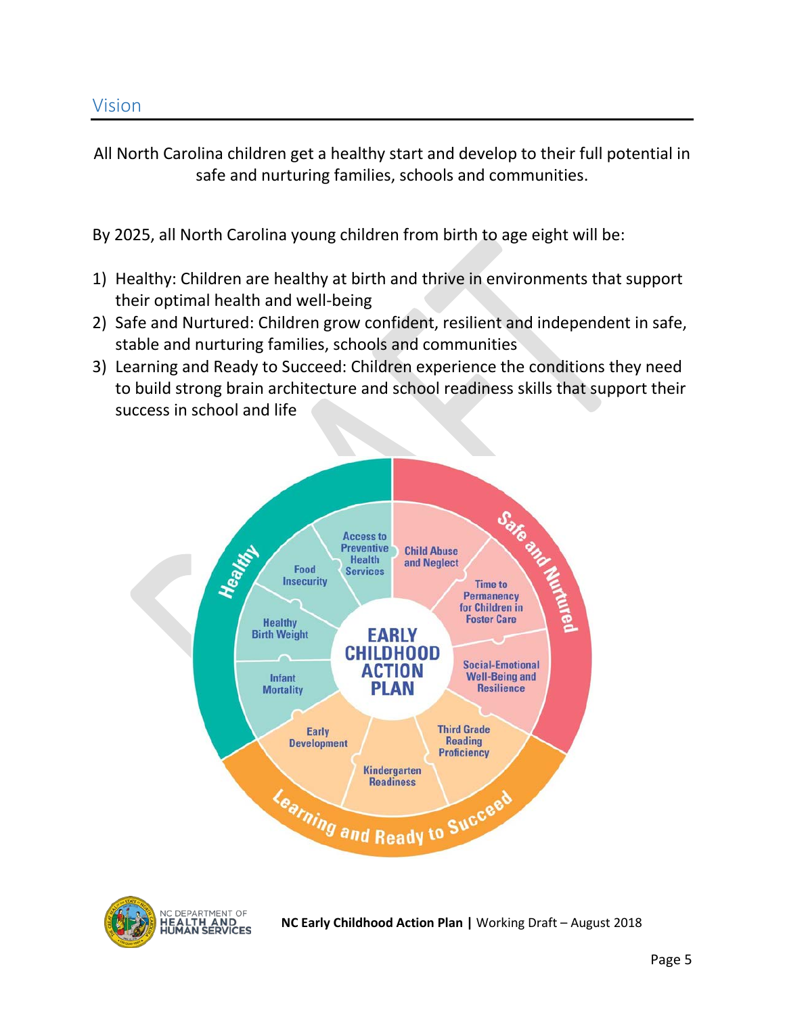<span id="page-5-0"></span>All North Carolina children get a healthy start and develop to their full potential in safe and nurturing families, schools and communities.

By 2025, all North Carolina young children from birth to age eight will be:

- 1) Healthy: Children are healthy at birth and thrive in environments that support their optimal health and well-being
- 2) Safe and Nurtured: Children grow confident, resilient and independent in safe, stable and nurturing families, schools and communities
- 3) Learning and Ready to Succeed: Children experience the conditions they need to build strong brain architecture and school readiness skills that support their success in school and life



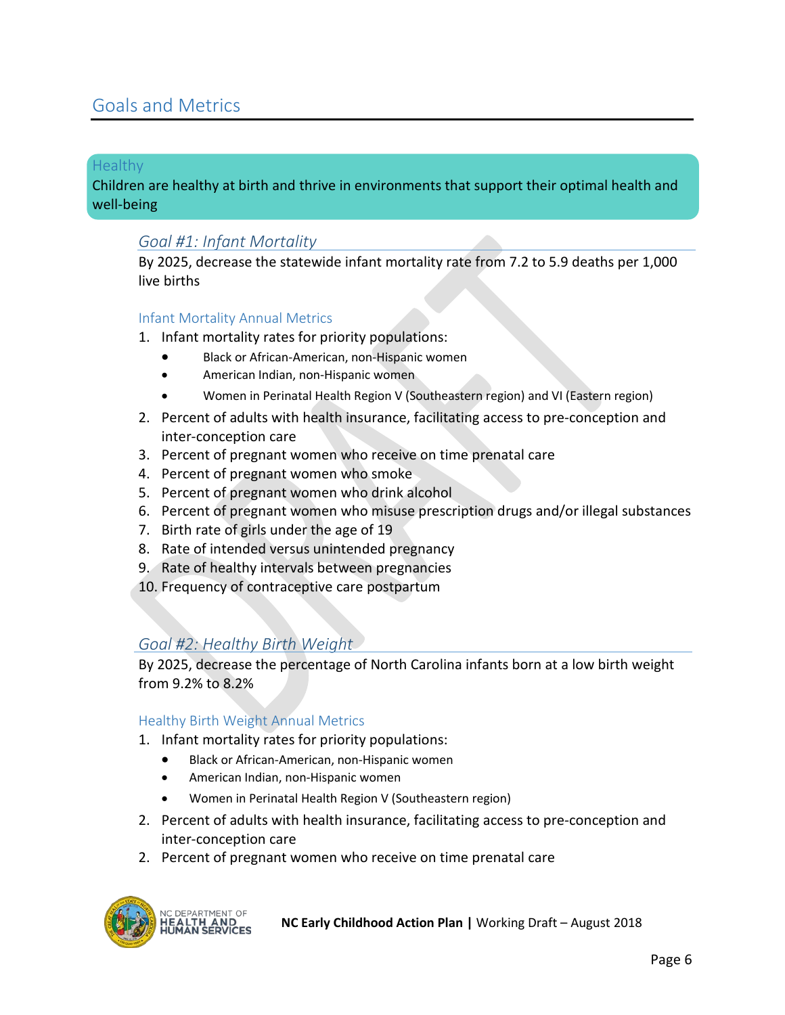### <span id="page-6-0"></span>Goals and Metrics

#### <span id="page-6-1"></span>Healthy

Children are healthy at birth and thrive in environments that support their optimal health and well-being

#### <span id="page-6-2"></span>*Goal #1: Infant Mortality*

By 2025, decrease the statewide infant mortality rate from 7.2 to 5.9 deaths per 1,000 live births

#### Infant Mortality Annual Metrics

- 1. Infant mortality rates for priority populations:
	- Black or African-American, non-Hispanic women
	- American Indian, non-Hispanic women
	- Women in Perinatal Health Region V (Southeastern region) and VI (Eastern region)
- 2. Percent of adults with health insurance, facilitating access to pre-conception and inter-conception care
- 3. Percent of pregnant women who receive on time prenatal care
- 4. Percent of pregnant women who smoke
- 5. Percent of pregnant women who drink alcohol
- 6. Percent of pregnant women who misuse prescription drugs and/or illegal substances
- 7. Birth rate of girls under the age of 19
- 8. Rate of intended versus unintended pregnancy
- 9. Rate of healthy intervals between pregnancies
- 10. Frequency of contraceptive care postpartum

#### <span id="page-6-3"></span>*Goal #2: Healthy Birth Weight*

By 2025, decrease the percentage of North Carolina infants born at a low birth weight from 9.2% to 8.2%

#### Healthy Birth Weight Annual Metrics

- 1. Infant mortality rates for priority populations:
	- Black or African-American, non-Hispanic women
	- American Indian, non-Hispanic women
	- Women in Perinatal Health Region V (Southeastern region)
- 2. Percent of adults with health insurance, facilitating access to pre-conception and inter-conception care
- 2. Percent of pregnant women who receive on time prenatal care

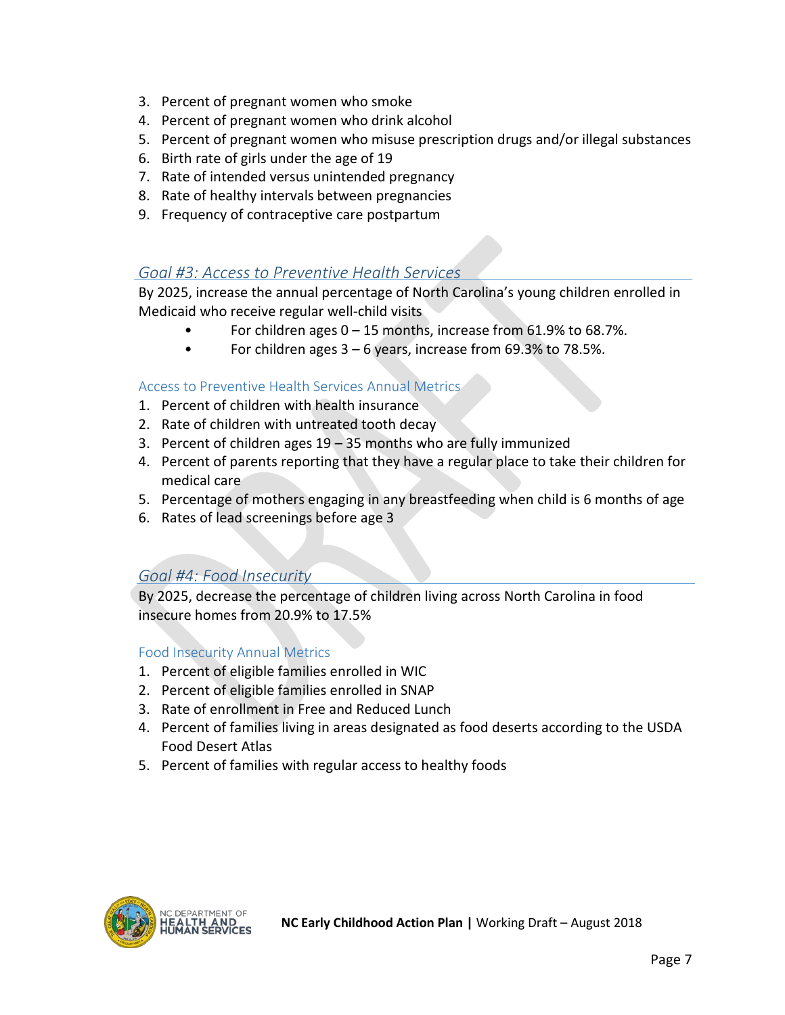- 3. Percent of pregnant women who smoke
- 4. Percent of pregnant women who drink alcohol
- 5. Percent of pregnant women who misuse prescription drugs and/or illegal substances
- 6. Birth rate of girls under the age of 19
- 7. Rate of intended versus unintended pregnancy
- 8. Rate of healthy intervals between pregnancies
- 9. Frequency of contraceptive care postpartum

### <span id="page-7-0"></span>*Goal #3: Access to Preventive Health Services*

By 2025, increase the annual percentage of North Carolina's young children enrolled in Medicaid who receive regular well-child visits

- For children ages 0 15 months, increase from 61.9% to 68.7%.
- For children ages  $3 6$  years, increase from 69.3% to 78.5%.

#### Access to Preventive Health Services Annual Metrics

- 1. Percent of children with health insurance
- 2. Rate of children with untreated tooth decay
- 3. Percent of children ages 19 35 months who are fully immunized
- 4. Percent of parents reporting that they have a regular place to take their children for medical care
- 5. Percentage of mothers engaging in any breastfeeding when child is 6 months of age
- 6. Rates of lead screenings before age 3

### <span id="page-7-1"></span>*Goal #4: Food Insecurity*

By 2025, decrease the percentage of children living across North Carolina in food insecure homes from 20.9% to 17.5%

#### Food Insecurity Annual Metrics

- 1. Percent of eligible families enrolled in WIC
- 2. Percent of eligible families enrolled in SNAP
- 3. Rate of enrollment in Free and Reduced Lunch
- 4. Percent of families living in areas designated as food deserts according to the USDA Food Desert Atlas
- 5. Percent of families with regular access to healthy foods

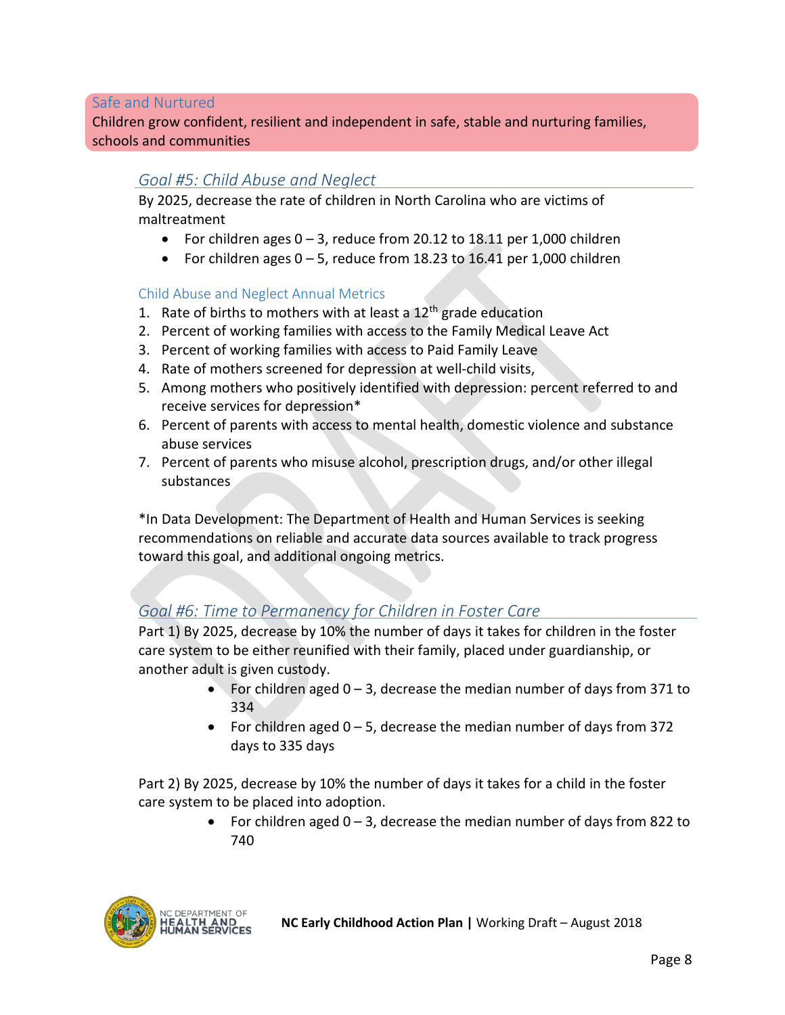#### <span id="page-8-0"></span>Safe and Nurtured

Children grow confident, resilient and independent in safe, stable and nurturing families, schools and communities

#### <span id="page-8-1"></span>*Goal #5: Child Abuse and Neglect*

By 2025, decrease the rate of children in North Carolina who are victims of maltreatment

- For children ages 0 3, reduce from 20.12 to 18.11 per 1,000 children
- For children ages  $0 5$ , reduce from 18.23 to 16.41 per 1,000 children

#### Child Abuse and Neglect Annual Metrics

- 1. Rate of births to mothers with at least a  $12<sup>th</sup>$  grade education
- 2. Percent of working families with access to the Family Medical Leave Act
- 3. Percent of working families with access to Paid Family Leave
- 4. Rate of mothers screened for depression at well-child visits,
- 5. Among mothers who positively identified with depression: percent referred to and receive services for depression\*
- 6. Percent of parents with access to mental health, domestic violence and substance abuse services
- 7. Percent of parents who misuse alcohol, prescription drugs, and/or other illegal substances

\*In Data Development: The Department of Health and Human Services is seeking recommendations on reliable and accurate data sources available to track progress toward this goal, and additional ongoing metrics.

#### <span id="page-8-2"></span>*Goal #6: Time to Permanency for Children in Foster Care*

Part 1) By 2025, decrease by 10% the number of days it takes for children in the foster care system to be either reunified with their family, placed under guardianship, or another adult is given custody.

- For children aged  $0 3$ , decrease the median number of days from 371 to 334
- For children aged  $0 5$ , decrease the median number of days from 372 days to 335 days

Part 2) By 2025, decrease by 10% the number of days it takes for a child in the foster care system to be placed into adoption.

> For children aged  $0 - 3$ , decrease the median number of days from 822 to 740

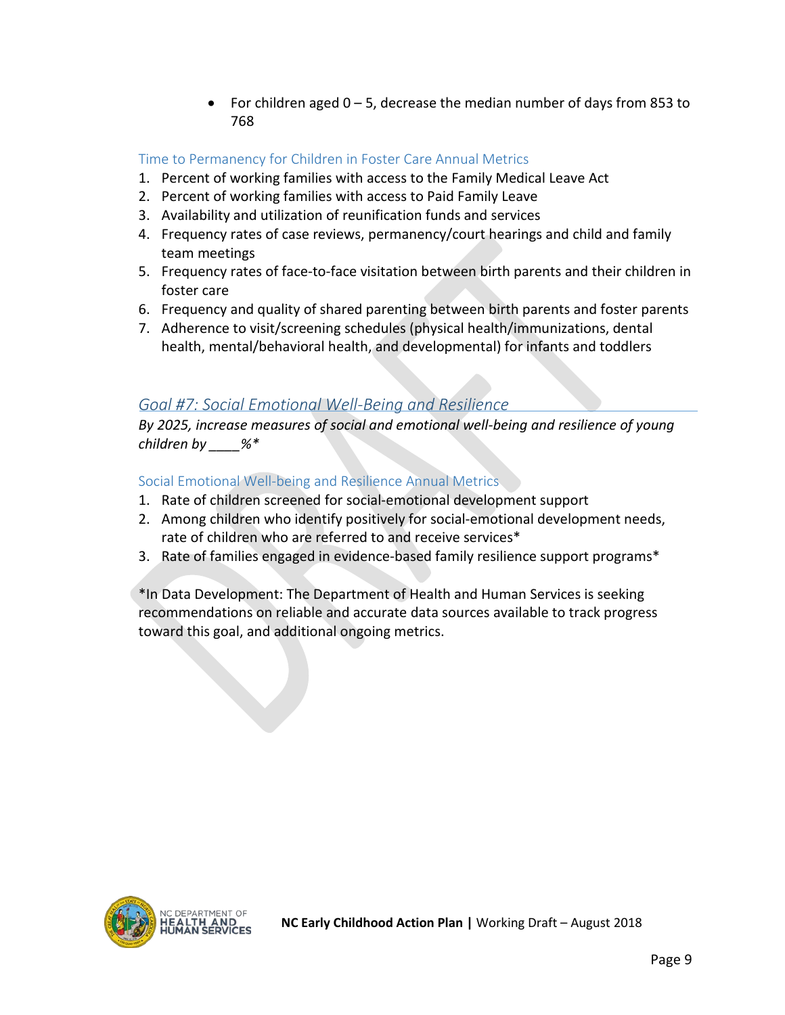• For children aged  $0 - 5$ , decrease the median number of days from 853 to 768

### Time to Permanency for Children in Foster Care Annual Metrics

- 1. Percent of working families with access to the Family Medical Leave Act
- 2. Percent of working families with access to Paid Family Leave
- 3. Availability and utilization of reunification funds and services
- 4. Frequency rates of case reviews, permanency/court hearings and child and family team meetings
- 5. Frequency rates of face-to-face visitation between birth parents and their children in foster care
- 6. Frequency and quality of shared parenting between birth parents and foster parents
- 7. Adherence to visit/screening schedules (physical health/immunizations, dental health, mental/behavioral health, and developmental) for infants and toddlers

### <span id="page-9-0"></span>*Goal #7: Social Emotional Well-Being and Resilience*

*By 2025, increase measures of social and emotional well-being and resilience of young children by \_\_\_\_%\**

Social Emotional Well-being and Resilience Annual Metrics

- 1. Rate of children screened for social-emotional development support
- 2. Among children who identify positively for social-emotional development needs, rate of children who are referred to and receive services\*
- 3. Rate of families engaged in evidence-based family resilience support programs\*

\*In Data Development: The Department of Health and Human Services is seeking recommendations on reliable and accurate data sources available to track progress toward this goal, and additional ongoing metrics.

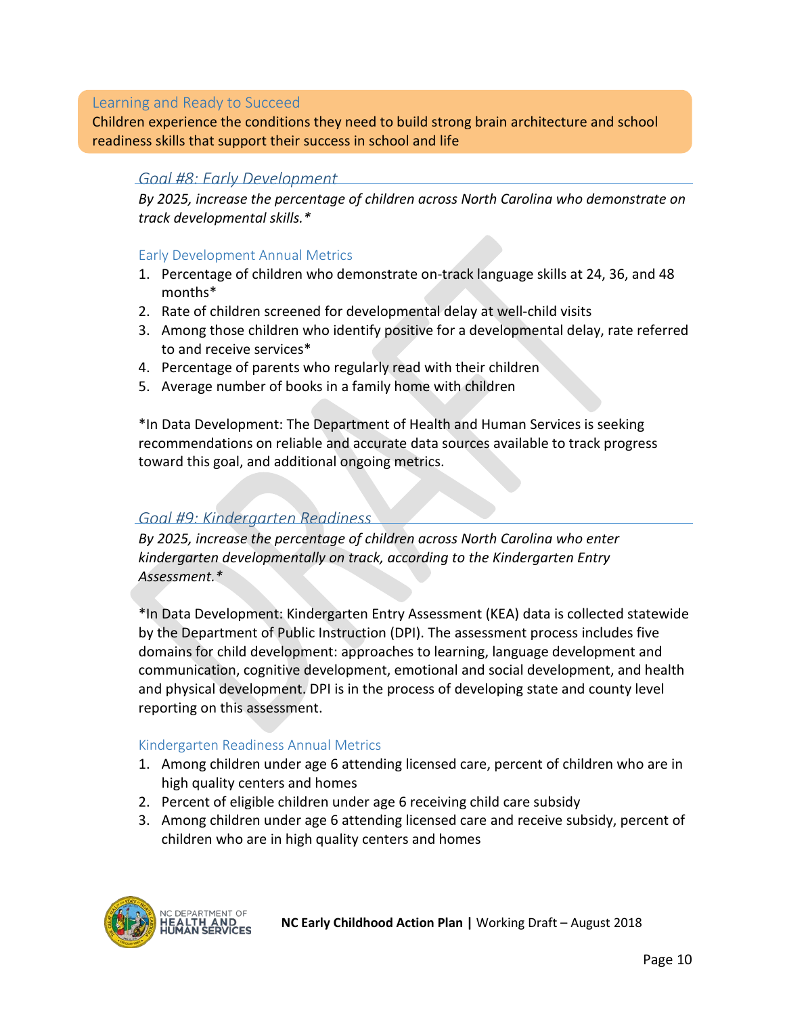#### <span id="page-10-0"></span>Learning and Ready to Succeed

Children experience the conditions they need to build strong brain architecture and school readiness skills that support their success in school and life

#### <span id="page-10-1"></span>*Goal #8: Early Development*

*By 2025, increase the percentage of children across North Carolina who demonstrate on track developmental skills.\**

#### Early Development Annual Metrics

- 1. Percentage of children who demonstrate on-track language skills at 24, 36, and 48 months\*
- 2. Rate of children screened for developmental delay at well-child visits
- 3. Among those children who identify positive for a developmental delay, rate referred to and receive services\*
- 4. Percentage of parents who regularly read with their children
- 5. Average number of books in a family home with children

\*In Data Development: The Department of Health and Human Services is seeking recommendations on reliable and accurate data sources available to track progress toward this goal, and additional ongoing metrics.

#### <span id="page-10-2"></span>*Goal #9: Kindergarten Readiness*

*By 2025, increase the percentage of children across North Carolina who enter kindergarten developmentally on track, according to the Kindergarten Entry Assessment.\**

\*In Data Development: Kindergarten Entry Assessment (KEA) data is collected statewide by the Department of Public Instruction (DPI). The assessment process includes five domains for child development: approaches to learning, language development and communication, cognitive development, emotional and social development, and health and physical development. DPI is in the process of developing state and county level reporting on this assessment.

#### Kindergarten Readiness Annual Metrics

- 1. Among children under age 6 attending licensed care, percent of children who are in high quality centers and homes
- 2. Percent of eligible children under age 6 receiving child care subsidy
- 3. Among children under age 6 attending licensed care and receive subsidy, percent of children who are in high quality centers and homes

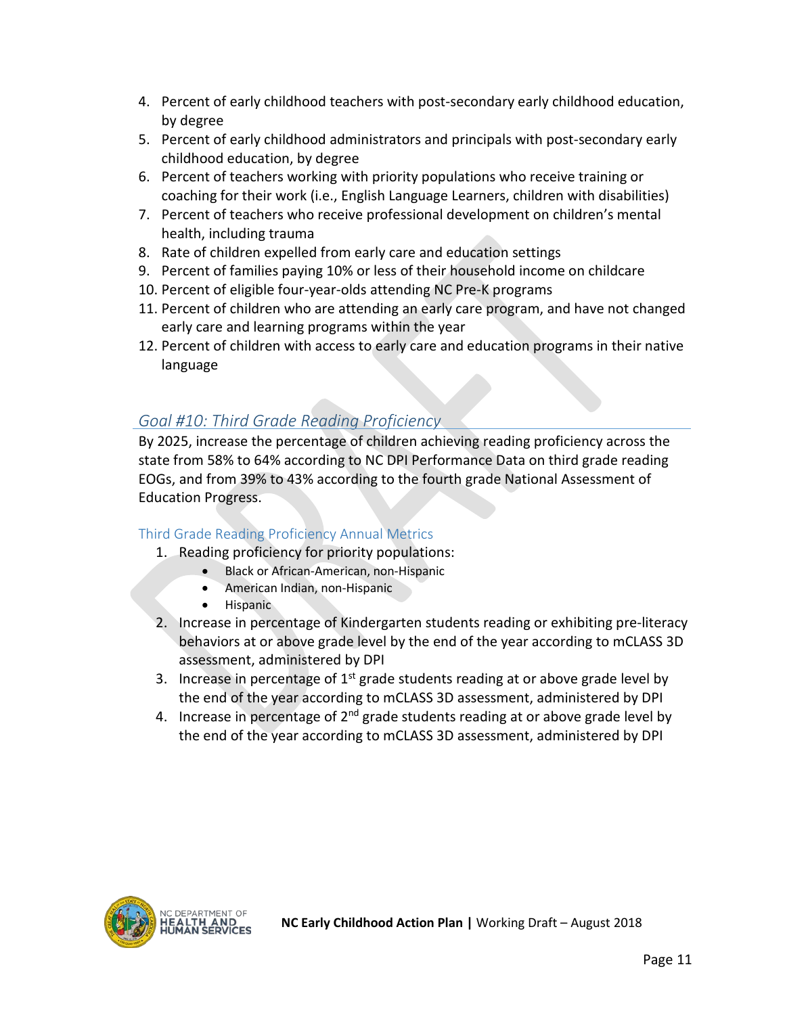- 4. Percent of early childhood teachers with post-secondary early childhood education, by degree
- 5. Percent of early childhood administrators and principals with post-secondary early childhood education, by degree
- 6. Percent of teachers working with priority populations who receive training or coaching for their work (i.e., English Language Learners, children with disabilities)
- 7. Percent of teachers who receive professional development on children's mental health, including trauma
- 8. Rate of children expelled from early care and education settings
- 9. Percent of families paying 10% or less of their household income on childcare
- 10. Percent of eligible four-year-olds attending NC Pre-K programs
- 11. Percent of children who are attending an early care program, and have not changed early care and learning programs within the year
- 12. Percent of children with access to early care and education programs in their native language

### <span id="page-11-0"></span>*Goal #10: Third Grade Reading Proficiency*

By 2025, increase the percentage of children achieving reading proficiency across the state from 58% to 64% according to NC DPI Performance Data on third grade reading EOGs, and from 39% to 43% according to the fourth grade National Assessment of Education Progress.

#### Third Grade Reading Proficiency Annual Metrics

- 1. Reading proficiency for priority populations:
	- Black or African-American, non-Hispanic
	- American Indian, non-Hispanic
	- Hispanic
- 2. Increase in percentage of Kindergarten students reading or exhibiting pre-literacy behaviors at or above grade level by the end of the year according to mCLASS 3D assessment, administered by DPI
- 3. Increase in percentage of  $1<sup>st</sup>$  grade students reading at or above grade level by the end of the year according to mCLASS 3D assessment, administered by DPI
- 4. Increase in percentage of 2<sup>nd</sup> grade students reading at or above grade level by the end of the year according to mCLASS 3D assessment, administered by DPI

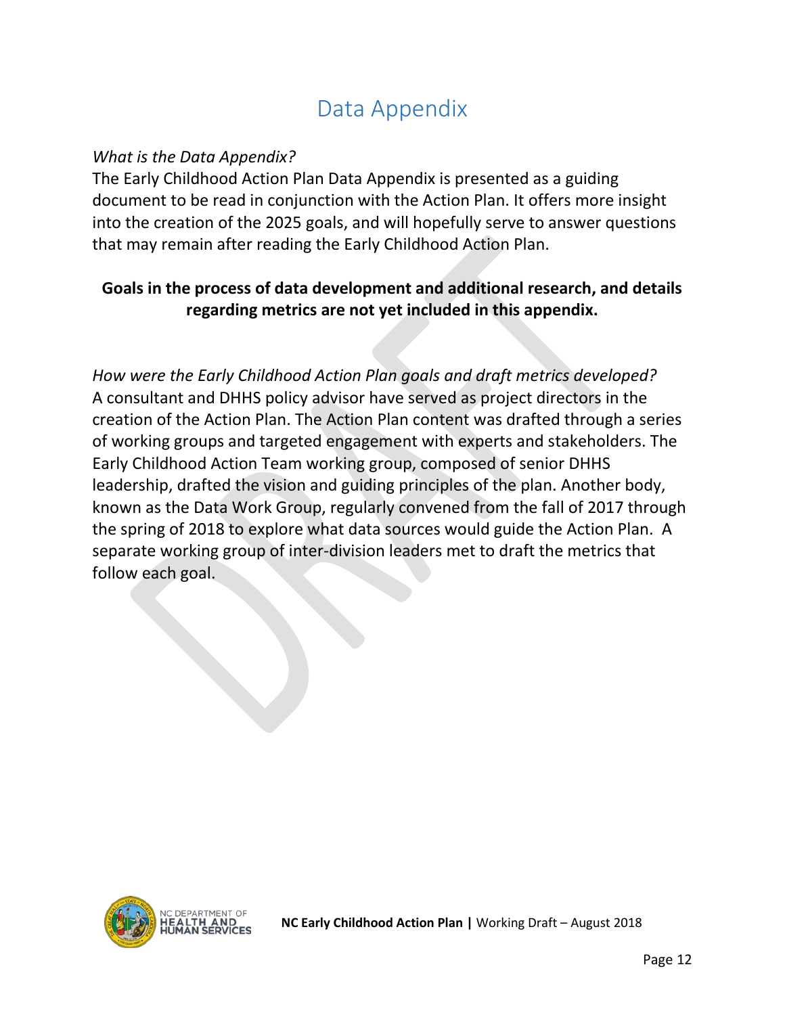# Data Appendix

### <span id="page-12-0"></span>*What is the Data Appendix?*

The Early Childhood Action Plan Data Appendix is presented as a guiding document to be read in conjunction with the Action Plan. It offers more insight into the creation of the 2025 goals, and will hopefully serve to answer questions that may remain after reading the Early Childhood Action Plan.

### **Goals in the process of data development and additional research, and details regarding metrics are not yet included in this appendix.**

*How were the Early Childhood Action Plan goals and draft metrics developed?* A consultant and DHHS policy advisor have served as project directors in the creation of the Action Plan. The Action Plan content was drafted through a series of working groups and targeted engagement with experts and stakeholders. The Early Childhood Action Team working group, composed of senior DHHS leadership, drafted the vision and guiding principles of the plan. Another body, known as the Data Work Group, regularly convened from the fall of 2017 through the spring of 2018 to explore what data sources would guide the Action Plan. A separate working group of inter-division leaders met to draft the metrics that follow each goal.

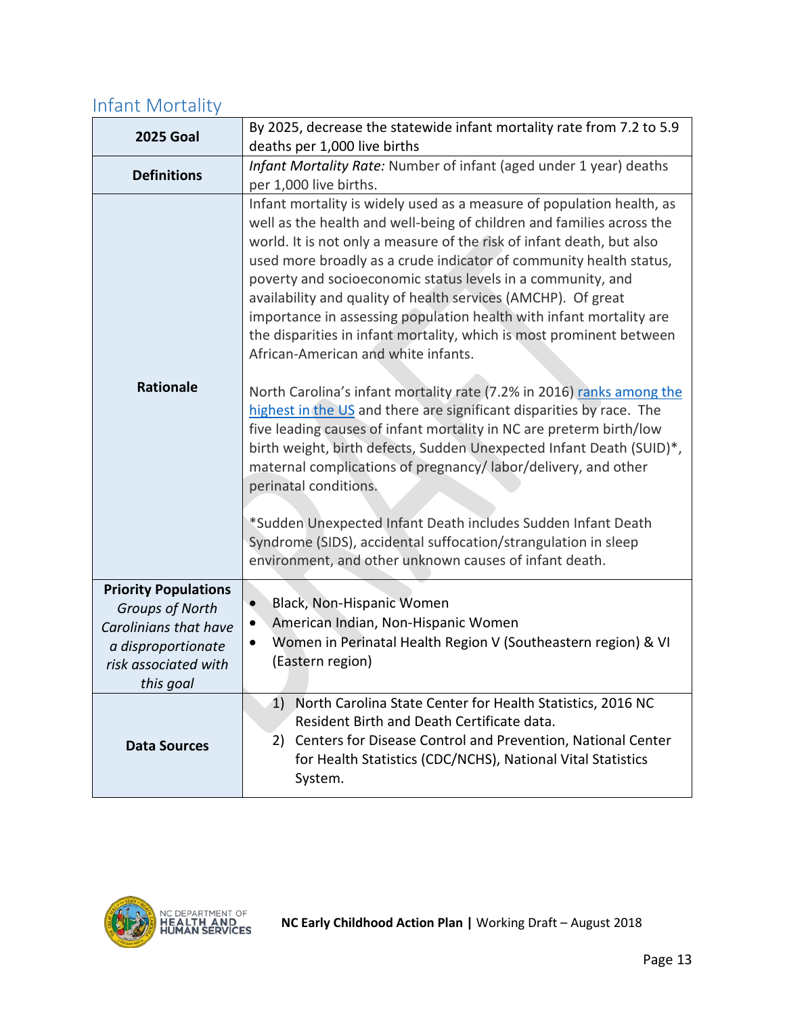### <span id="page-13-0"></span>Infant Mortality

| <b>2025 Goal</b>                                        | By 2025, decrease the statewide infant mortality rate from 7.2 to 5.9<br>deaths per 1,000 live births                                                                                                                                                                                                                                                                                                                                                                                                                                                                                                               |
|---------------------------------------------------------|---------------------------------------------------------------------------------------------------------------------------------------------------------------------------------------------------------------------------------------------------------------------------------------------------------------------------------------------------------------------------------------------------------------------------------------------------------------------------------------------------------------------------------------------------------------------------------------------------------------------|
| <b>Definitions</b>                                      | Infant Mortality Rate: Number of infant (aged under 1 year) deaths<br>per 1,000 live births.                                                                                                                                                                                                                                                                                                                                                                                                                                                                                                                        |
|                                                         | Infant mortality is widely used as a measure of population health, as<br>well as the health and well-being of children and families across the<br>world. It is not only a measure of the risk of infant death, but also<br>used more broadly as a crude indicator of community health status,<br>poverty and socioeconomic status levels in a community, and<br>availability and quality of health services (AMCHP). Of great<br>importance in assessing population health with infant mortality are<br>the disparities in infant mortality, which is most prominent between<br>African-American and white infants. |
| <b>Rationale</b>                                        | North Carolina's infant mortality rate (7.2% in 2016) ranks among the<br>highest in the US and there are significant disparities by race. The<br>five leading causes of infant mortality in NC are preterm birth/low<br>birth weight, birth defects, Sudden Unexpected Infant Death (SUID)*,<br>maternal complications of pregnancy/labor/delivery, and other<br>perinatal conditions.<br>*Sudden Unexpected Infant Death includes Sudden Infant Death<br>Syndrome (SIDS), accidental suffocation/strangulation in sleep<br>environment, and other unknown causes of infant death.                                  |
| <b>Priority Populations</b>                             | Black, Non-Hispanic Women<br>$\bullet$                                                                                                                                                                                                                                                                                                                                                                                                                                                                                                                                                                              |
| <b>Groups of North</b><br>Carolinians that have         | American Indian, Non-Hispanic Women<br>$\bullet$                                                                                                                                                                                                                                                                                                                                                                                                                                                                                                                                                                    |
| a disproportionate<br>risk associated with<br>this goal | Women in Perinatal Health Region V (Southeastern region) & VI<br>٠<br>(Eastern region)                                                                                                                                                                                                                                                                                                                                                                                                                                                                                                                              |
| <b>Data Sources</b>                                     | 1) North Carolina State Center for Health Statistics, 2016 NC<br>Resident Birth and Death Certificate data.<br>2) Centers for Disease Control and Prevention, National Center<br>for Health Statistics (CDC/NCHS), National Vital Statistics<br>System.                                                                                                                                                                                                                                                                                                                                                             |

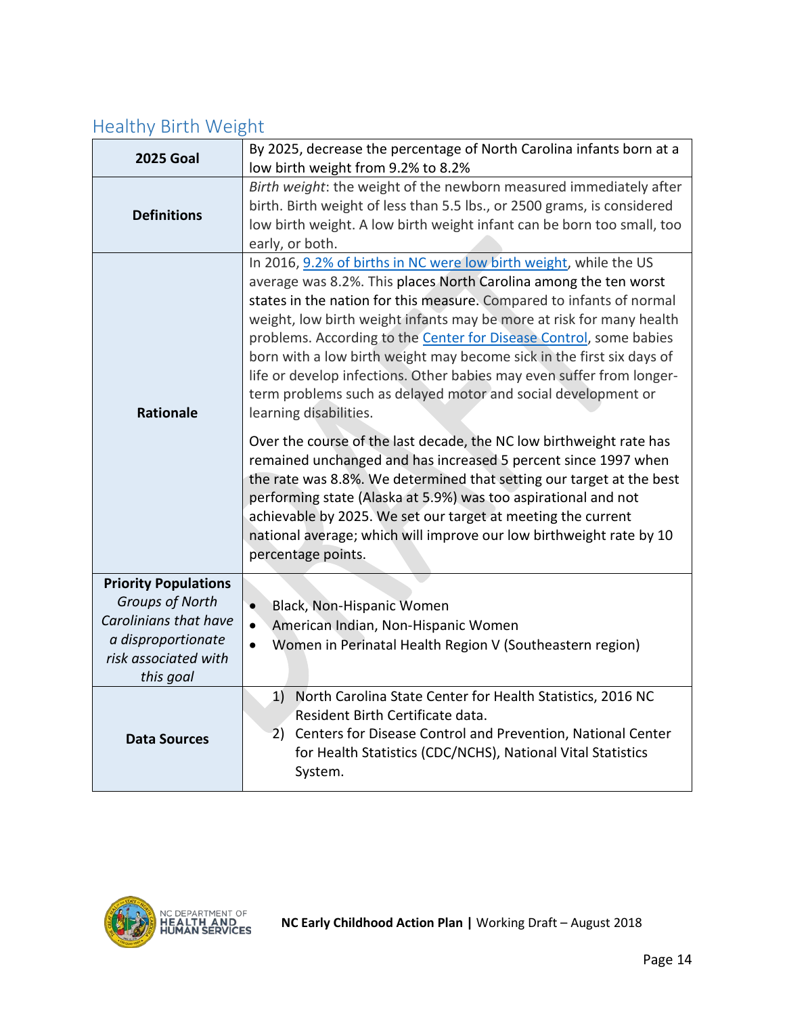# <span id="page-14-0"></span>Healthy Birth Weight

| <b>2025 Goal</b>                                                                                                                          | By 2025, decrease the percentage of North Carolina infants born at a<br>low birth weight from 9.2% to 8.2%                                                                                                                                                                                                                                                                                                                                                                                                                                                                                                       |
|-------------------------------------------------------------------------------------------------------------------------------------------|------------------------------------------------------------------------------------------------------------------------------------------------------------------------------------------------------------------------------------------------------------------------------------------------------------------------------------------------------------------------------------------------------------------------------------------------------------------------------------------------------------------------------------------------------------------------------------------------------------------|
| <b>Definitions</b>                                                                                                                        | Birth weight: the weight of the newborn measured immediately after<br>birth. Birth weight of less than 5.5 lbs., or 2500 grams, is considered<br>low birth weight. A low birth weight infant can be born too small, too<br>early, or both.                                                                                                                                                                                                                                                                                                                                                                       |
| <b>Rationale</b>                                                                                                                          | In 2016, 9.2% of births in NC were low birth weight, while the US<br>average was 8.2%. This places North Carolina among the ten worst<br>states in the nation for this measure. Compared to infants of normal<br>weight, low birth weight infants may be more at risk for many health<br>problems. According to the <b>Center for Disease Control</b> , some babies<br>born with a low birth weight may become sick in the first six days of<br>life or develop infections. Other babies may even suffer from longer-<br>term problems such as delayed motor and social development or<br>learning disabilities. |
|                                                                                                                                           | Over the course of the last decade, the NC low birthweight rate has<br>remained unchanged and has increased 5 percent since 1997 when<br>the rate was 8.8%. We determined that setting our target at the best<br>performing state (Alaska at 5.9%) was too aspirational and not<br>achievable by 2025. We set our target at meeting the current<br>national average; which will improve our low birthweight rate by 10<br>percentage points.                                                                                                                                                                     |
| <b>Priority Populations</b><br><b>Groups of North</b><br>Carolinians that have<br>a disproportionate<br>risk associated with<br>this goal | Black, Non-Hispanic Women<br>$\bullet$<br>American Indian, Non-Hispanic Women<br>$\bullet$<br>Women in Perinatal Health Region V (Southeastern region)                                                                                                                                                                                                                                                                                                                                                                                                                                                           |
| <b>Data Sources</b>                                                                                                                       | 1) North Carolina State Center for Health Statistics, 2016 NC<br>Resident Birth Certificate data.<br>2) Centers for Disease Control and Prevention, National Center<br>for Health Statistics (CDC/NCHS), National Vital Statistics<br>System.                                                                                                                                                                                                                                                                                                                                                                    |

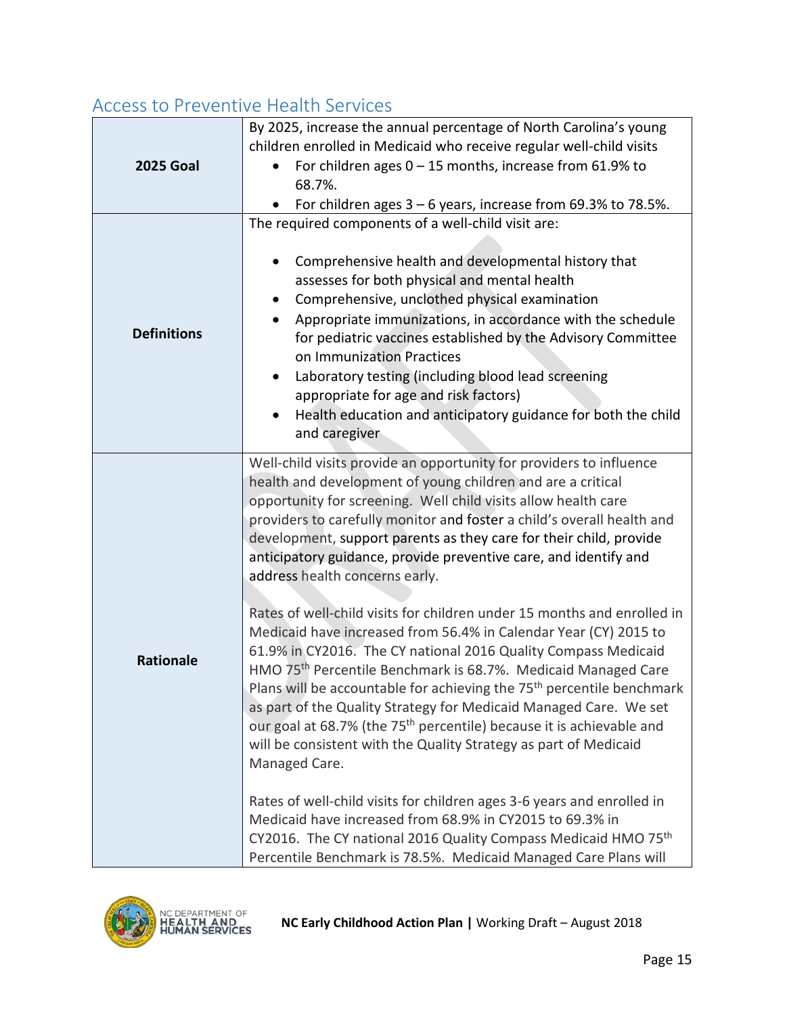### <span id="page-15-0"></span>Access to Preventive Health Services

| <b>2025 Goal</b>   | By 2025, increase the annual percentage of North Carolina's young<br>children enrolled in Medicaid who receive regular well-child visits<br>For children ages $0 - 15$ months, increase from 61.9% to<br>68.7%.<br>For children ages 3 - 6 years, increase from 69.3% to 78.5%.                                                                                                                                                                                                                                                                                                                                                                                                                                                                                                                                                                                                                                                                                                                                                                                                                                                                                                                                                   |
|--------------------|-----------------------------------------------------------------------------------------------------------------------------------------------------------------------------------------------------------------------------------------------------------------------------------------------------------------------------------------------------------------------------------------------------------------------------------------------------------------------------------------------------------------------------------------------------------------------------------------------------------------------------------------------------------------------------------------------------------------------------------------------------------------------------------------------------------------------------------------------------------------------------------------------------------------------------------------------------------------------------------------------------------------------------------------------------------------------------------------------------------------------------------------------------------------------------------------------------------------------------------|
| <b>Definitions</b> | The required components of a well-child visit are:<br>Comprehensive health and developmental history that<br>assesses for both physical and mental health<br>Comprehensive, unclothed physical examination<br>Appropriate immunizations, in accordance with the schedule<br>for pediatric vaccines established by the Advisory Committee<br>on Immunization Practices<br>Laboratory testing (including blood lead screening<br>appropriate for age and risk factors)<br>Health education and anticipatory guidance for both the child<br>and caregiver                                                                                                                                                                                                                                                                                                                                                                                                                                                                                                                                                                                                                                                                            |
| <b>Rationale</b>   | Well-child visits provide an opportunity for providers to influence<br>health and development of young children and are a critical<br>opportunity for screening. Well child visits allow health care<br>providers to carefully monitor and foster a child's overall health and<br>development, support parents as they care for their child, provide<br>anticipatory guidance, provide preventive care, and identify and<br>address health concerns early.<br>Rates of well-child visits for children under 15 months and enrolled in<br>Medicaid have increased from 56.4% in Calendar Year (CY) 2015 to<br>61.9% in CY2016. The CY national 2016 Quality Compass Medicaid<br>HMO 75 <sup>th</sup> Percentile Benchmark is 68.7%. Medicaid Managed Care<br>Plans will be accountable for achieving the 75 <sup>th</sup> percentile benchmark<br>as part of the Quality Strategy for Medicaid Managed Care. We set<br>our goal at 68.7% (the 75 <sup>th</sup> percentile) because it is achievable and<br>will be consistent with the Quality Strategy as part of Medicaid<br>Managed Care.<br>Rates of well-child visits for children ages 3-6 years and enrolled in<br>Medicaid have increased from 68.9% in CY2015 to 69.3% in |
|                    | CY2016. The CY national 2016 Quality Compass Medicaid HMO 75th<br>Percentile Benchmark is 78.5%. Medicaid Managed Care Plans will                                                                                                                                                                                                                                                                                                                                                                                                                                                                                                                                                                                                                                                                                                                                                                                                                                                                                                                                                                                                                                                                                                 |

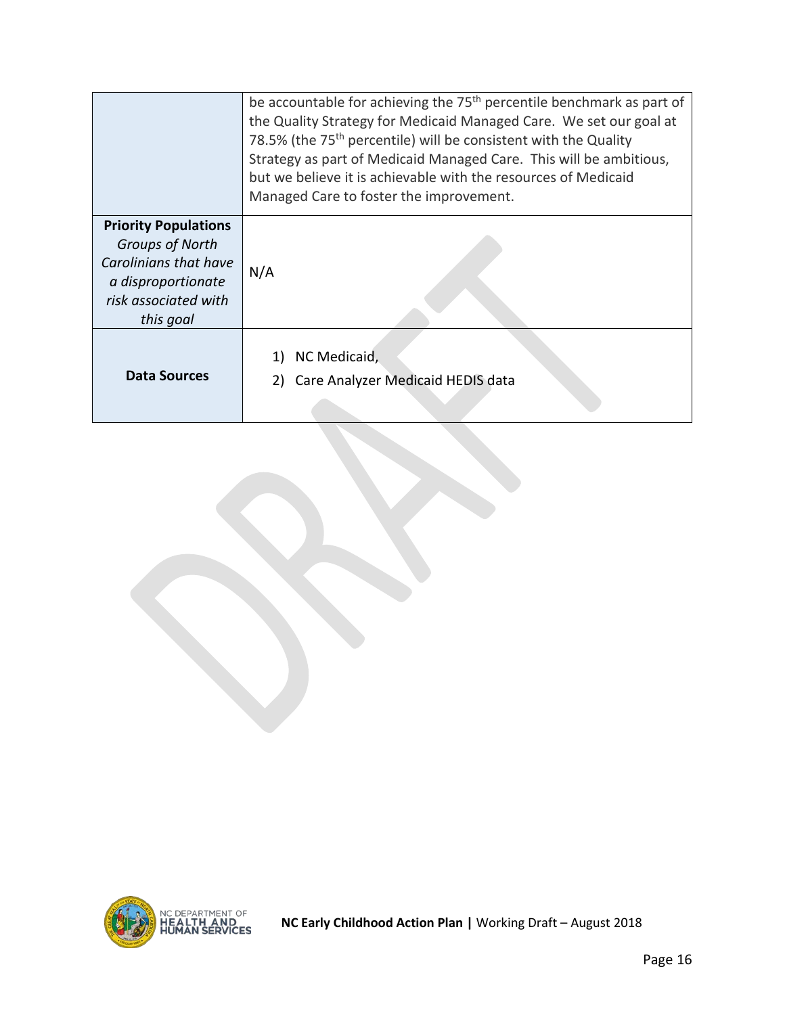|                                                                                                                                           | be accountable for achieving the 75 <sup>th</sup> percentile benchmark as part of<br>the Quality Strategy for Medicaid Managed Care. We set our goal at<br>78.5% (the 75 <sup>th</sup> percentile) will be consistent with the Quality<br>Strategy as part of Medicaid Managed Care. This will be ambitious,<br>but we believe it is achievable with the resources of Medicaid<br>Managed Care to foster the improvement. |
|-------------------------------------------------------------------------------------------------------------------------------------------|---------------------------------------------------------------------------------------------------------------------------------------------------------------------------------------------------------------------------------------------------------------------------------------------------------------------------------------------------------------------------------------------------------------------------|
| <b>Priority Populations</b><br><b>Groups of North</b><br>Carolinians that have<br>a disproportionate<br>risk associated with<br>this goal | N/A                                                                                                                                                                                                                                                                                                                                                                                                                       |
| Data Sources                                                                                                                              | NC Medicaid,<br>Care Analyzer Medicaid HEDIS data                                                                                                                                                                                                                                                                                                                                                                         |

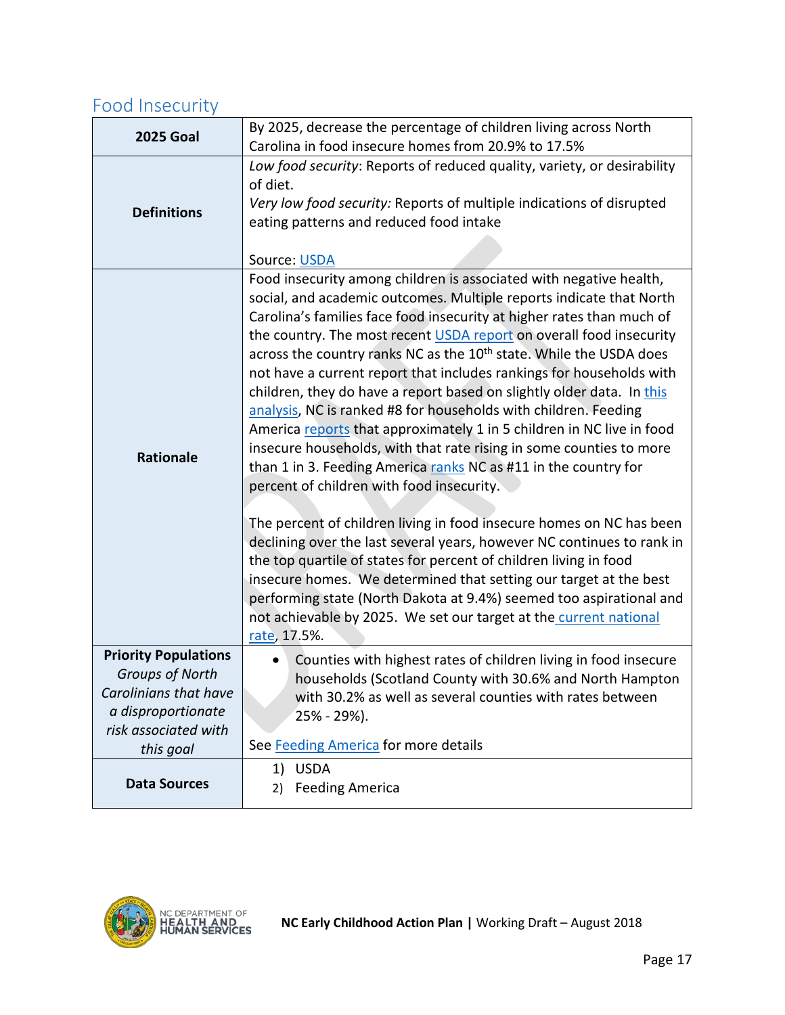# <span id="page-17-0"></span>Food Insecurity

| <b>Data Sources</b>                                                                                                                       | 1) USDA<br><b>Feeding America</b><br>2)                                                                                                                                                                                                                                                                                                                                                                                                                                                                                                                                                                                                                                                                                                                                                                                                                                                                                                                                                                                                                                                                                                                                                                                                                                                                                 |
|-------------------------------------------------------------------------------------------------------------------------------------------|-------------------------------------------------------------------------------------------------------------------------------------------------------------------------------------------------------------------------------------------------------------------------------------------------------------------------------------------------------------------------------------------------------------------------------------------------------------------------------------------------------------------------------------------------------------------------------------------------------------------------------------------------------------------------------------------------------------------------------------------------------------------------------------------------------------------------------------------------------------------------------------------------------------------------------------------------------------------------------------------------------------------------------------------------------------------------------------------------------------------------------------------------------------------------------------------------------------------------------------------------------------------------------------------------------------------------|
| <b>Priority Populations</b><br><b>Groups of North</b><br>Carolinians that have<br>a disproportionate<br>risk associated with<br>this goal | Counties with highest rates of children living in food insecure<br>households (Scotland County with 30.6% and North Hampton<br>with 30.2% as well as several counties with rates between<br>25% - 29%).<br>See Feeding America for more details                                                                                                                                                                                                                                                                                                                                                                                                                                                                                                                                                                                                                                                                                                                                                                                                                                                                                                                                                                                                                                                                         |
| <b>Rationale</b>                                                                                                                          | Food insecurity among children is associated with negative health,<br>social, and academic outcomes. Multiple reports indicate that North<br>Carolina's families face food insecurity at higher rates than much of<br>the country. The most recent USDA report on overall food insecurity<br>across the country ranks NC as the 10 <sup>th</sup> state. While the USDA does<br>not have a current report that includes rankings for households with<br>children, they do have a report based on slightly older data. In this<br>analysis, NC is ranked #8 for households with children. Feeding<br>America reports that approximately 1 in 5 children in NC live in food<br>insecure households, with that rate rising in some counties to more<br>than 1 in 3. Feeding America ranks NC as #11 in the country for<br>percent of children with food insecurity.<br>The percent of children living in food insecure homes on NC has been<br>declining over the last several years, however NC continues to rank in<br>the top quartile of states for percent of children living in food<br>insecure homes. We determined that setting our target at the best<br>performing state (North Dakota at 9.4%) seemed too aspirational and<br>not achievable by 2025. We set our target at the current national<br>rate, 17.5%. |
| <b>Definitions</b>                                                                                                                        | Very low food security: Reports of multiple indications of disrupted<br>eating patterns and reduced food intake<br>Source: USDA                                                                                                                                                                                                                                                                                                                                                                                                                                                                                                                                                                                                                                                                                                                                                                                                                                                                                                                                                                                                                                                                                                                                                                                         |
|                                                                                                                                           | Low food security: Reports of reduced quality, variety, or desirability<br>of diet.                                                                                                                                                                                                                                                                                                                                                                                                                                                                                                                                                                                                                                                                                                                                                                                                                                                                                                                                                                                                                                                                                                                                                                                                                                     |
| <b>2025 Goal</b>                                                                                                                          | By 2025, decrease the percentage of children living across North<br>Carolina in food insecure homes from 20.9% to 17.5%                                                                                                                                                                                                                                                                                                                                                                                                                                                                                                                                                                                                                                                                                                                                                                                                                                                                                                                                                                                                                                                                                                                                                                                                 |

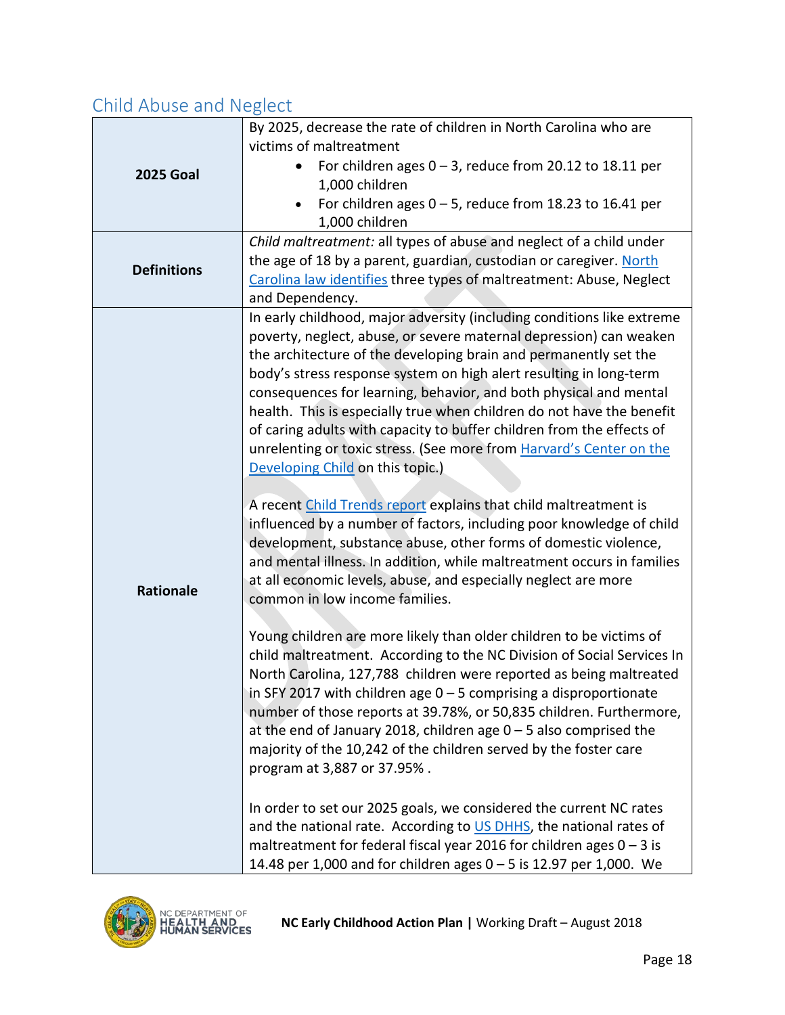# <span id="page-18-0"></span>Child Abuse and Neglect

|                    | By 2025, decrease the rate of children in North Carolina who are                                                                                                                                                                                                                                                                                                                                                                                                                                                                                                                                                         |
|--------------------|--------------------------------------------------------------------------------------------------------------------------------------------------------------------------------------------------------------------------------------------------------------------------------------------------------------------------------------------------------------------------------------------------------------------------------------------------------------------------------------------------------------------------------------------------------------------------------------------------------------------------|
| <b>2025 Goal</b>   | victims of maltreatment<br>For children ages $0 - 3$ , reduce from 20.12 to 18.11 per<br>$\bullet$<br>1,000 children                                                                                                                                                                                                                                                                                                                                                                                                                                                                                                     |
|                    | For children ages $0 - 5$ , reduce from 18.23 to 16.41 per<br>1,000 children                                                                                                                                                                                                                                                                                                                                                                                                                                                                                                                                             |
| <b>Definitions</b> | Child maltreatment: all types of abuse and neglect of a child under<br>the age of 18 by a parent, guardian, custodian or caregiver. North<br>Carolina law identifies three types of maltreatment: Abuse, Neglect<br>and Dependency.                                                                                                                                                                                                                                                                                                                                                                                      |
|                    | In early childhood, major adversity (including conditions like extreme<br>poverty, neglect, abuse, or severe maternal depression) can weaken<br>the architecture of the developing brain and permanently set the<br>body's stress response system on high alert resulting in long-term<br>consequences for learning, behavior, and both physical and mental<br>health. This is especially true when children do not have the benefit<br>of caring adults with capacity to buffer children from the effects of<br>unrelenting or toxic stress. (See more from Harvard's Center on the<br>Developing Child on this topic.) |
| <b>Rationale</b>   | A recent Child Trends report explains that child maltreatment is<br>influenced by a number of factors, including poor knowledge of child<br>development, substance abuse, other forms of domestic violence,<br>and mental illness. In addition, while maltreatment occurs in families<br>at all economic levels, abuse, and especially neglect are more<br>common in low income families.                                                                                                                                                                                                                                |
|                    | Young children are more likely than older children to be victims of<br>child maltreatment. According to the NC Division of Social Services In<br>North Carolina, 127,788 children were reported as being maltreated<br>in SFY 2017 with children age $0 - 5$ comprising a disproportionate<br>number of those reports at 39.78%, or 50,835 children. Furthermore,<br>at the end of January 2018, children age $0 - 5$ also comprised the<br>majority of the 10,242 of the children served by the foster care<br>program at 3,887 or 37.95%.                                                                              |
|                    | In order to set our 2025 goals, we considered the current NC rates<br>and the national rate. According to US DHHS, the national rates of<br>maltreatment for federal fiscal year 2016 for children ages $0 - 3$ is<br>14.48 per 1,000 and for children ages 0 - 5 is 12.97 per 1,000. We                                                                                                                                                                                                                                                                                                                                 |

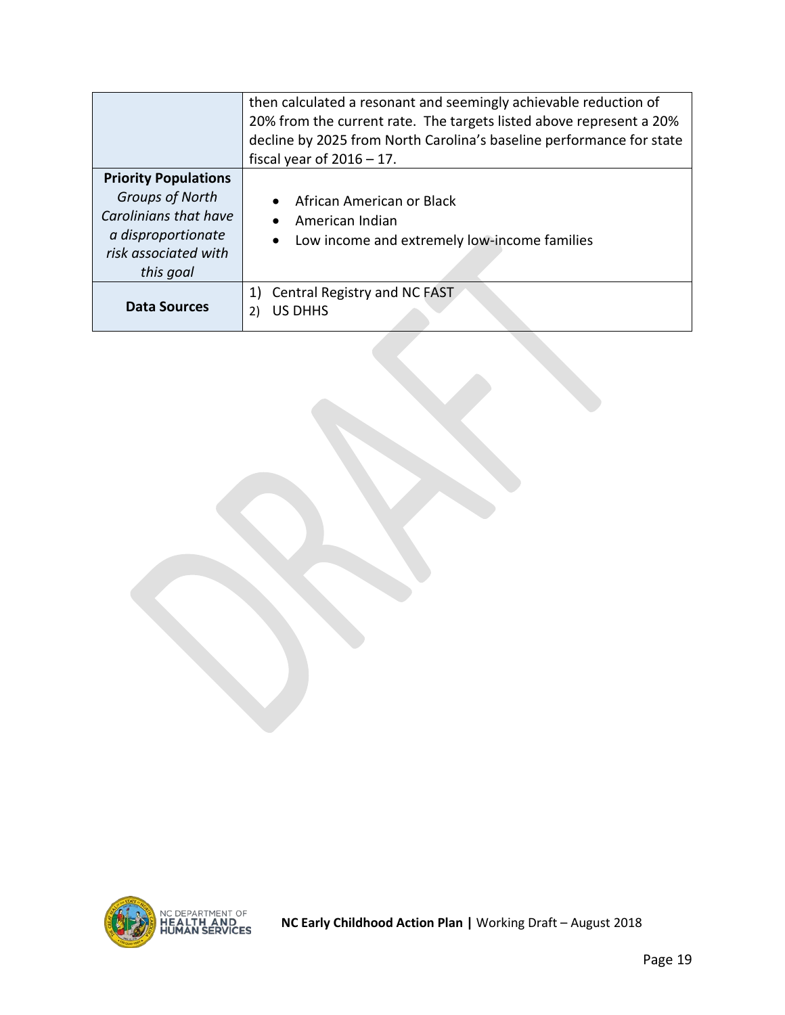|                                                                                                                                    | then calculated a resonant and seemingly achievable reduction of<br>20% from the current rate. The targets listed above represent a 20%<br>decline by 2025 from North Carolina's baseline performance for state<br>fiscal year of $2016 - 17$ . |
|------------------------------------------------------------------------------------------------------------------------------------|-------------------------------------------------------------------------------------------------------------------------------------------------------------------------------------------------------------------------------------------------|
| <b>Priority Populations</b><br>Groups of North<br>Carolinians that have<br>a disproportionate<br>risk associated with<br>this goal | African American or Black<br>American Indian<br>Low income and extremely low-income families<br>$\bullet$                                                                                                                                       |
| Data Sources                                                                                                                       | Central Registry and NC FAST<br>1)<br><b>US DHHS</b><br>2)                                                                                                                                                                                      |

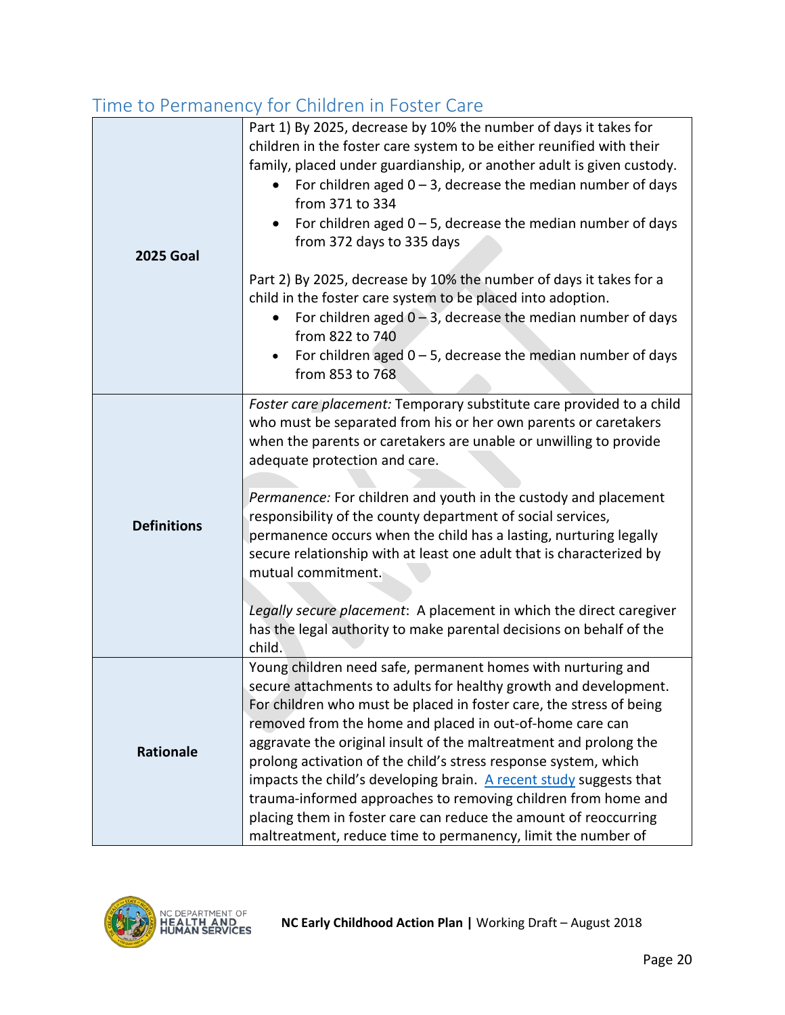|                    | inne to remnanche y ror omiarem in roster care                                                                                                                                                                                                                                                                                                                                                                                                                                                                                                                                                                                                                                                                                    |
|--------------------|-----------------------------------------------------------------------------------------------------------------------------------------------------------------------------------------------------------------------------------------------------------------------------------------------------------------------------------------------------------------------------------------------------------------------------------------------------------------------------------------------------------------------------------------------------------------------------------------------------------------------------------------------------------------------------------------------------------------------------------|
| <b>2025 Goal</b>   | Part 1) By 2025, decrease by 10% the number of days it takes for<br>children in the foster care system to be either reunified with their<br>family, placed under guardianship, or another adult is given custody.<br>For children aged $0 - 3$ , decrease the median number of days<br>from 371 to 334<br>For children aged $0 - 5$ , decrease the median number of days<br>$\bullet$<br>from 372 days to 335 days<br>Part 2) By 2025, decrease by 10% the number of days it takes for a<br>child in the foster care system to be placed into adoption.<br>For children aged $0 - 3$ , decrease the median number of days<br>from 822 to 740<br>For children aged $0 - 5$ , decrease the median number of days<br>from 853 to 768 |
|                    |                                                                                                                                                                                                                                                                                                                                                                                                                                                                                                                                                                                                                                                                                                                                   |
| <b>Definitions</b> | Foster care placement: Temporary substitute care provided to a child<br>who must be separated from his or her own parents or caretakers<br>when the parents or caretakers are unable or unwilling to provide<br>adequate protection and care.<br>Permanence: For children and youth in the custody and placement<br>responsibility of the county department of social services,<br>permanence occurs when the child has a lasting, nurturing legally<br>secure relationship with at least one adult that is characterized by<br>mutual commitment.<br>Legally secure placement: A placement in which the direct caregiver<br>has the legal authority to make parental decisions on behalf of the<br>child.                        |
| <b>Rationale</b>   | Young children need safe, permanent homes with nurturing and<br>secure attachments to adults for healthy growth and development.<br>For children who must be placed in foster care, the stress of being<br>removed from the home and placed in out-of-home care can<br>aggravate the original insult of the maltreatment and prolong the<br>prolong activation of the child's stress response system, which<br>impacts the child's developing brain. A recent study suggests that<br>trauma-informed approaches to removing children from home and<br>placing them in foster care can reduce the amount of reoccurring<br>maltreatment, reduce time to permanency, limit the number of                                            |

# <span id="page-20-0"></span>Time to Permanency for Children in Foster Care

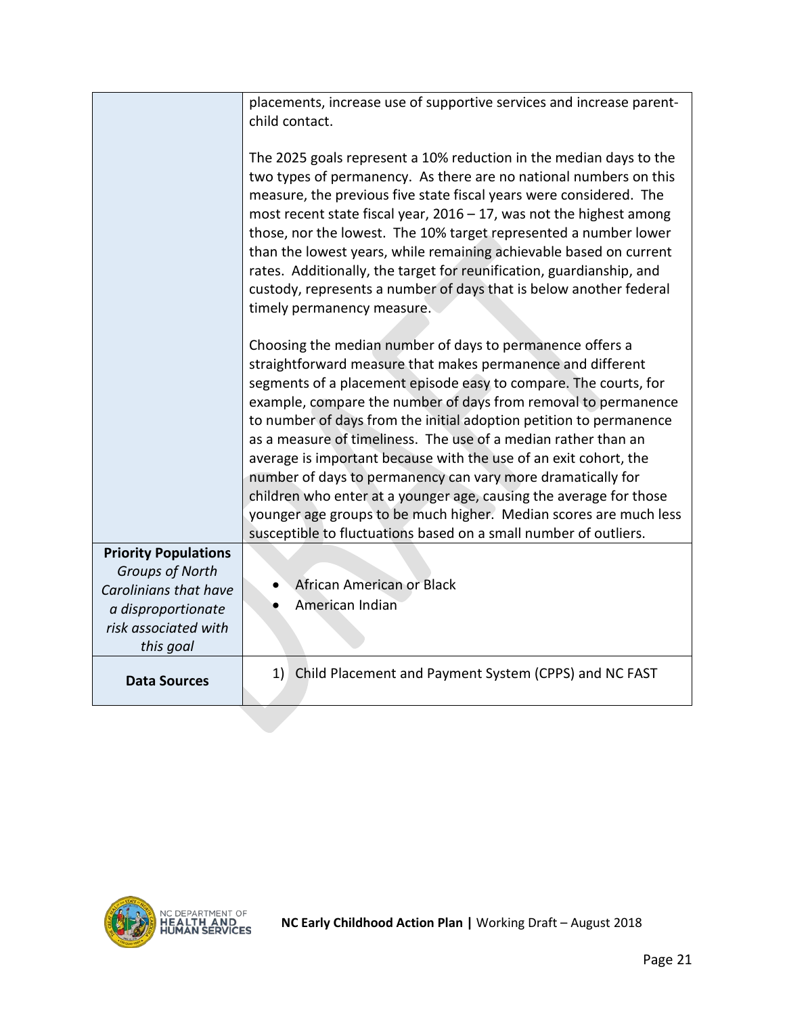|                                                         | placements, increase use of supportive services and increase parent-<br>child contact.                                                                                                                                                                                                                                                                                                                                                                                                                                                                                                                                                                                                                                                                   |
|---------------------------------------------------------|----------------------------------------------------------------------------------------------------------------------------------------------------------------------------------------------------------------------------------------------------------------------------------------------------------------------------------------------------------------------------------------------------------------------------------------------------------------------------------------------------------------------------------------------------------------------------------------------------------------------------------------------------------------------------------------------------------------------------------------------------------|
|                                                         | The 2025 goals represent a 10% reduction in the median days to the<br>two types of permanency. As there are no national numbers on this<br>measure, the previous five state fiscal years were considered. The<br>most recent state fiscal year, $2016 - 17$ , was not the highest among<br>those, nor the lowest. The 10% target represented a number lower<br>than the lowest years, while remaining achievable based on current<br>rates. Additionally, the target for reunification, guardianship, and<br>custody, represents a number of days that is below another federal<br>timely permanency measure.                                                                                                                                            |
|                                                         | Choosing the median number of days to permanence offers a<br>straightforward measure that makes permanence and different<br>segments of a placement episode easy to compare. The courts, for<br>example, compare the number of days from removal to permanence<br>to number of days from the initial adoption petition to permanence<br>as a measure of timeliness. The use of a median rather than an<br>average is important because with the use of an exit cohort, the<br>number of days to permanency can vary more dramatically for<br>children who enter at a younger age, causing the average for those<br>younger age groups to be much higher. Median scores are much less<br>susceptible to fluctuations based on a small number of outliers. |
| <b>Priority Populations</b>                             |                                                                                                                                                                                                                                                                                                                                                                                                                                                                                                                                                                                                                                                                                                                                                          |
| <b>Groups of North</b><br>Carolinians that have         | African American or Black<br>American Indian                                                                                                                                                                                                                                                                                                                                                                                                                                                                                                                                                                                                                                                                                                             |
| a disproportionate<br>risk associated with<br>this goal |                                                                                                                                                                                                                                                                                                                                                                                                                                                                                                                                                                                                                                                                                                                                                          |
| <b>Data Sources</b>                                     | 1) Child Placement and Payment System (CPPS) and NC FAST                                                                                                                                                                                                                                                                                                                                                                                                                                                                                                                                                                                                                                                                                                 |

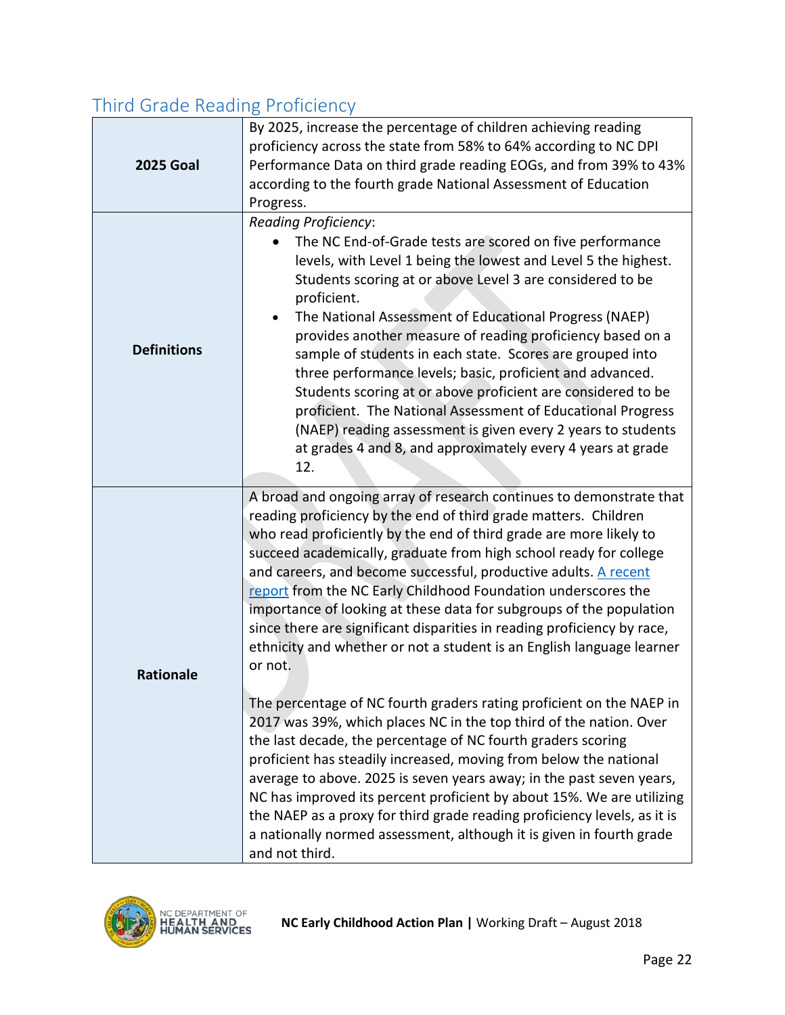# <span id="page-22-0"></span>Third Grade Reading Proficiency

| <b>2025 Goal</b>   | By 2025, increase the percentage of children achieving reading<br>proficiency across the state from 58% to 64% according to NC DPI<br>Performance Data on third grade reading EOGs, and from 39% to 43%<br>according to the fourth grade National Assessment of Education<br>Progress.                                                                                                                                                                                                                                                                                                                                                                                                                                                                                                                                                                                                                                                                                                                                                                                                                                                                                                                                                                                |
|--------------------|-----------------------------------------------------------------------------------------------------------------------------------------------------------------------------------------------------------------------------------------------------------------------------------------------------------------------------------------------------------------------------------------------------------------------------------------------------------------------------------------------------------------------------------------------------------------------------------------------------------------------------------------------------------------------------------------------------------------------------------------------------------------------------------------------------------------------------------------------------------------------------------------------------------------------------------------------------------------------------------------------------------------------------------------------------------------------------------------------------------------------------------------------------------------------------------------------------------------------------------------------------------------------|
| <b>Definitions</b> | <b>Reading Proficiency:</b><br>The NC End-of-Grade tests are scored on five performance<br>levels, with Level 1 being the lowest and Level 5 the highest.<br>Students scoring at or above Level 3 are considered to be<br>proficient.<br>The National Assessment of Educational Progress (NAEP)<br>provides another measure of reading proficiency based on a<br>sample of students in each state. Scores are grouped into<br>three performance levels; basic, proficient and advanced.<br>Students scoring at or above proficient are considered to be<br>proficient. The National Assessment of Educational Progress<br>(NAEP) reading assessment is given every 2 years to students<br>at grades 4 and 8, and approximately every 4 years at grade<br>12.                                                                                                                                                                                                                                                                                                                                                                                                                                                                                                          |
| <b>Rationale</b>   | A broad and ongoing array of research continues to demonstrate that<br>reading proficiency by the end of third grade matters. Children<br>who read proficiently by the end of third grade are more likely to<br>succeed academically, graduate from high school ready for college<br>and careers, and become successful, productive adults. A recent<br>report from the NC Early Childhood Foundation underscores the<br>importance of looking at these data for subgroups of the population<br>since there are significant disparities in reading proficiency by race,<br>ethnicity and whether or not a student is an English language learner<br>or not.<br>The percentage of NC fourth graders rating proficient on the NAEP in<br>2017 was 39%, which places NC in the top third of the nation. Over<br>the last decade, the percentage of NC fourth graders scoring<br>proficient has steadily increased, moving from below the national<br>average to above. 2025 is seven years away; in the past seven years,<br>NC has improved its percent proficient by about 15%. We are utilizing<br>the NAEP as a proxy for third grade reading proficiency levels, as it is<br>a nationally normed assessment, although it is given in fourth grade<br>and not third. |